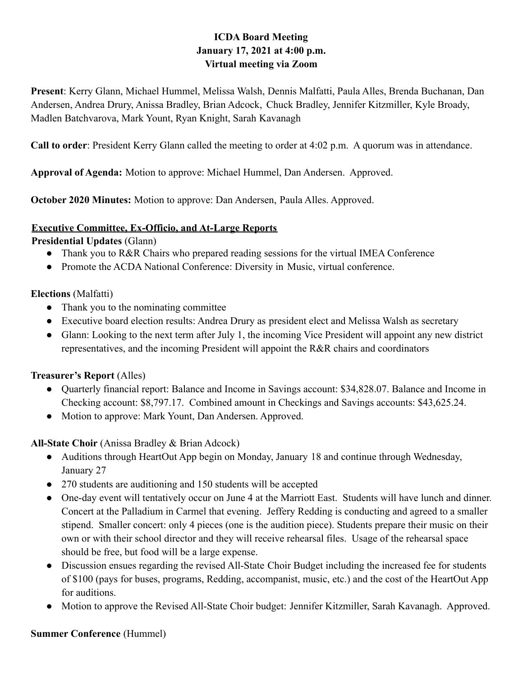# **ICDA Board Meeting January 17, 2021 at 4:00 p.m. Virtual meeting via Zoom**

**Present**: Kerry Glann, Michael Hummel, Melissa Walsh, Dennis Malfatti, Paula Alles, Brenda Buchanan, Dan Andersen, Andrea Drury, Anissa Bradley, Brian Adcock, Chuck Bradley, Jennifer Kitzmiller, Kyle Broady, Madlen Batchvarova, Mark Yount, Ryan Knight, Sarah Kavanagh

**Call to order**: President Kerry Glann called the meeting to order at 4:02 p.m. A quorum was in attendance.

**Approval of Agenda:** Motion to approve: Michael Hummel, Dan Andersen. Approved.

**October 2020 Minutes:** Motion to approve: Dan Andersen, Paula Alles. Approved.

### **Executive Committee, Ex-Officio, and At-Large Reports**

**Presidential Updates** (Glann)

- Thank you to R&R Chairs who prepared reading sessions for the virtual IMEA Conference
- Promote the ACDA National Conference: Diversity in Music, virtual conference.

### **Elections** (Malfatti)

- Thank you to the nominating committee
- Executive board election results: Andrea Drury as president elect and Melissa Walsh as secretary
- Glann: Looking to the next term after July 1, the incoming Vice President will appoint any new district representatives, and the incoming President will appoint the R&R chairs and coordinators

### **Treasurer's Report** (Alles)

- Quarterly financial report: Balance and Income in Savings account: \$34,828.07. Balance and Income in Checking account: \$8,797.17. Combined amount in Checkings and Savings accounts: \$43,625.24.
- Motion to approve: Mark Yount, Dan Andersen. Approved.

### **All-State Choir** (Anissa Bradley & Brian Adcock)

- Auditions through HeartOut App begin on Monday, January 18 and continue through Wednesday, January 27
- 270 students are auditioning and 150 students will be accepted
- One-day event will tentatively occur on June 4 at the Marriott East. Students will have lunch and dinner. Concert at the Palladium in Carmel that evening. Jeffery Redding is conducting and agreed to a smaller stipend. Smaller concert: only 4 pieces (one is the audition piece). Students prepare their music on their own or with their school director and they will receive rehearsal files. Usage of the rehearsal space should be free, but food will be a large expense.
- Discussion ensues regarding the revised All-State Choir Budget including the increased fee for students of \$100 (pays for buses, programs, Redding, accompanist, music, etc.) and the cost of the HeartOut App for auditions.
- Motion to approve the Revised All-State Choir budget: Jennifer Kitzmiller, Sarah Kavanagh. Approved.

#### **Summer Conference** (Hummel)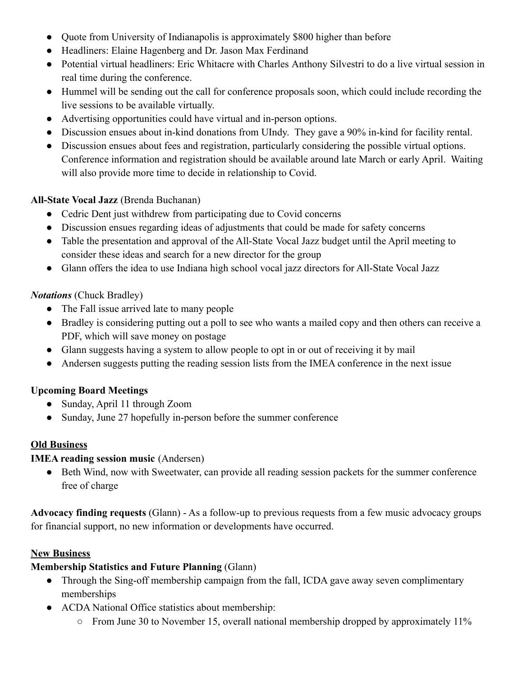- Quote from University of Indianapolis is approximately \$800 higher than before
- Headliners: Elaine Hagenberg and Dr. Jason Max Ferdinand
- Potential virtual headliners: Eric Whitacre with Charles Anthony Silvestri to do a live virtual session in real time during the conference.
- Hummel will be sending out the call for conference proposals soon, which could include recording the live sessions to be available virtually.
- Advertising opportunities could have virtual and in-person options.
- Discussion ensues about in-kind donations from UIndy. They gave a 90% in-kind for facility rental.
- Discussion ensues about fees and registration, particularly considering the possible virtual options. Conference information and registration should be available around late March or early April. Waiting will also provide more time to decide in relationship to Covid.

# **All-State Vocal Jazz** (Brenda Buchanan)

- Cedric Dent just withdrew from participating due to Covid concerns
- Discussion ensues regarding ideas of adjustments that could be made for safety concerns
- Table the presentation and approval of the All-State Vocal Jazz budget until the April meeting to consider these ideas and search for a new director for the group
- Glann offers the idea to use Indiana high school vocal jazz directors for All-State Vocal Jazz

# *Notations* (Chuck Bradley)

- The Fall issue arrived late to many people
- Bradley is considering putting out a poll to see who wants a mailed copy and then others can receive a PDF, which will save money on postage
- Glann suggests having a system to allow people to opt in or out of receiving it by mail
- Andersen suggests putting the reading session lists from the IMEA conference in the next issue

# **Upcoming Board Meetings**

- Sunday, April 11 through Zoom
- Sunday, June 27 hopefully in-person before the summer conference

### **Old Business**

### **IMEA reading session music** (Andersen)

• Beth Wind, now with Sweetwater, can provide all reading session packets for the summer conference free of charge

**Advocacy finding requests** (Glann) - As a follow-up to previous requests from a few music advocacy groups for financial support, no new information or developments have occurred.

### **New Business**

### **Membership Statistics and Future Planning** (Glann)

- Through the Sing-off membership campaign from the fall, ICDA gave away seven complimentary memberships
- ACDA National Office statistics about membership:
	- $\circ$  From June 30 to November 15, overall national membership dropped by approximately 11%